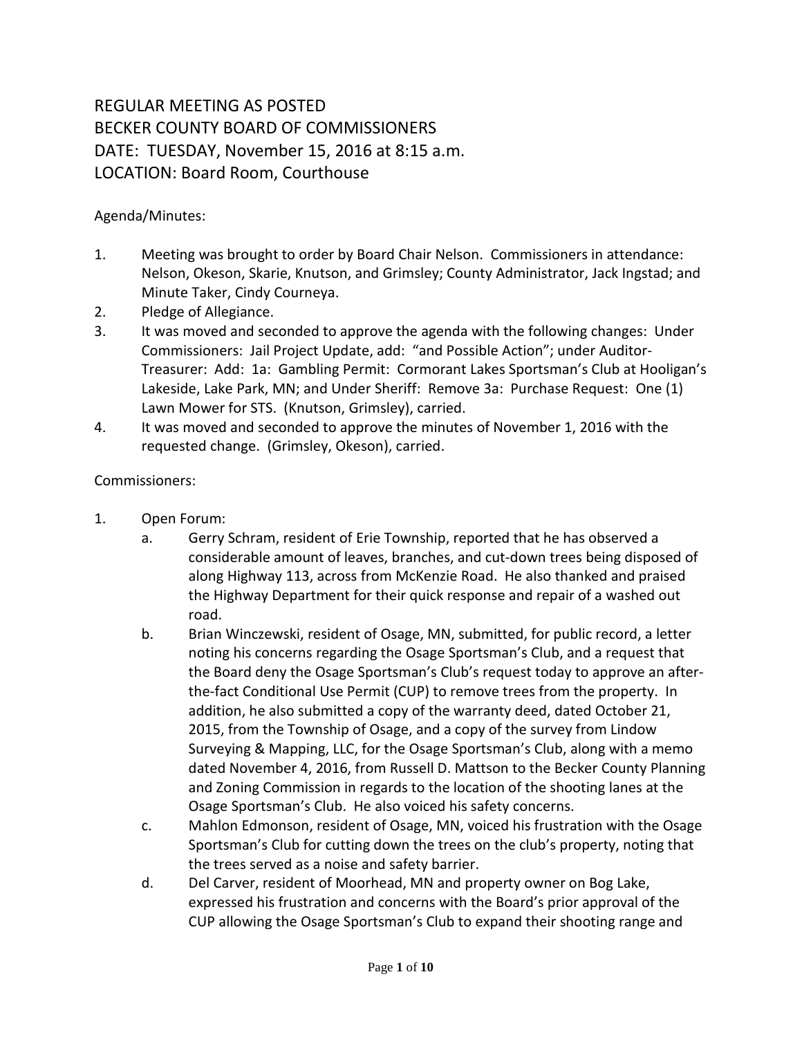## REGULAR MEETING AS POSTED BECKER COUNTY BOARD OF COMMISSIONERS DATE: TUESDAY, November 15, 2016 at 8:15 a.m. LOCATION: Board Room, Courthouse

## Agenda/Minutes:

- 1. Meeting was brought to order by Board Chair Nelson. Commissioners in attendance: Nelson, Okeson, Skarie, Knutson, and Grimsley; County Administrator, Jack Ingstad; and Minute Taker, Cindy Courneya.
- 2. Pledge of Allegiance.
- 3. It was moved and seconded to approve the agenda with the following changes: Under Commissioners: Jail Project Update, add: "and Possible Action"; under Auditor-Treasurer: Add: 1a: Gambling Permit: Cormorant Lakes Sportsman's Club at Hooligan's Lakeside, Lake Park, MN; and Under Sheriff: Remove 3a: Purchase Request: One (1) Lawn Mower for STS. (Knutson, Grimsley), carried.
- 4. It was moved and seconded to approve the minutes of November 1, 2016 with the requested change. (Grimsley, Okeson), carried.

## Commissioners:

- 1. Open Forum:
	- a. Gerry Schram, resident of Erie Township, reported that he has observed a considerable amount of leaves, branches, and cut-down trees being disposed of along Highway 113, across from McKenzie Road. He also thanked and praised the Highway Department for their quick response and repair of a washed out road.
	- b. Brian Winczewski, resident of Osage, MN, submitted, for public record, a letter noting his concerns regarding the Osage Sportsman's Club, and a request that the Board deny the Osage Sportsman's Club's request today to approve an afterthe-fact Conditional Use Permit (CUP) to remove trees from the property. In addition, he also submitted a copy of the warranty deed, dated October 21, 2015, from the Township of Osage, and a copy of the survey from Lindow Surveying & Mapping, LLC, for the Osage Sportsman's Club, along with a memo dated November 4, 2016, from Russell D. Mattson to the Becker County Planning and Zoning Commission in regards to the location of the shooting lanes at the Osage Sportsman's Club. He also voiced his safety concerns.
	- c. Mahlon Edmonson, resident of Osage, MN, voiced his frustration with the Osage Sportsman's Club for cutting down the trees on the club's property, noting that the trees served as a noise and safety barrier.
	- d. Del Carver, resident of Moorhead, MN and property owner on Bog Lake, expressed his frustration and concerns with the Board's prior approval of the CUP allowing the Osage Sportsman's Club to expand their shooting range and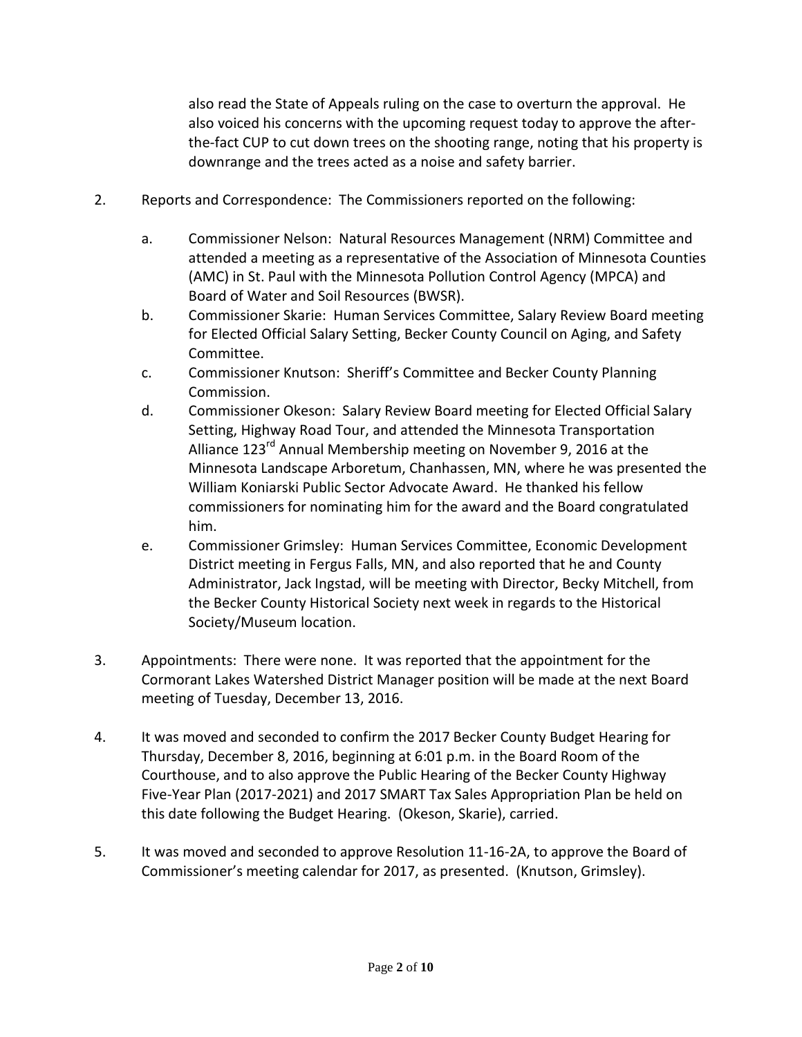also read the State of Appeals ruling on the case to overturn the approval. He also voiced his concerns with the upcoming request today to approve the afterthe-fact CUP to cut down trees on the shooting range, noting that his property is downrange and the trees acted as a noise and safety barrier.

- 2. Reports and Correspondence: The Commissioners reported on the following:
	- a. Commissioner Nelson: Natural Resources Management (NRM) Committee and attended a meeting as a representative of the Association of Minnesota Counties (AMC) in St. Paul with the Minnesota Pollution Control Agency (MPCA) and Board of Water and Soil Resources (BWSR).
	- b. Commissioner Skarie: Human Services Committee, Salary Review Board meeting for Elected Official Salary Setting, Becker County Council on Aging, and Safety Committee.
	- c. Commissioner Knutson: Sheriff's Committee and Becker County Planning Commission.
	- d. Commissioner Okeson: Salary Review Board meeting for Elected Official Salary Setting, Highway Road Tour, and attended the Minnesota Transportation Alliance 123<sup>rd</sup> Annual Membership meeting on November 9, 2016 at the Minnesota Landscape Arboretum, Chanhassen, MN, where he was presented the William Koniarski Public Sector Advocate Award. He thanked his fellow commissioners for nominating him for the award and the Board congratulated him.
	- e. Commissioner Grimsley: Human Services Committee, Economic Development District meeting in Fergus Falls, MN, and also reported that he and County Administrator, Jack Ingstad, will be meeting with Director, Becky Mitchell, from the Becker County Historical Society next week in regards to the Historical Society/Museum location.
- 3. Appointments: There were none. It was reported that the appointment for the Cormorant Lakes Watershed District Manager position will be made at the next Board meeting of Tuesday, December 13, 2016.
- 4. It was moved and seconded to confirm the 2017 Becker County Budget Hearing for Thursday, December 8, 2016, beginning at 6:01 p.m. in the Board Room of the Courthouse, and to also approve the Public Hearing of the Becker County Highway Five-Year Plan (2017-2021) and 2017 SMART Tax Sales Appropriation Plan be held on this date following the Budget Hearing. (Okeson, Skarie), carried.
- 5. It was moved and seconded to approve Resolution 11-16-2A, to approve the Board of Commissioner's meeting calendar for 2017, as presented. (Knutson, Grimsley).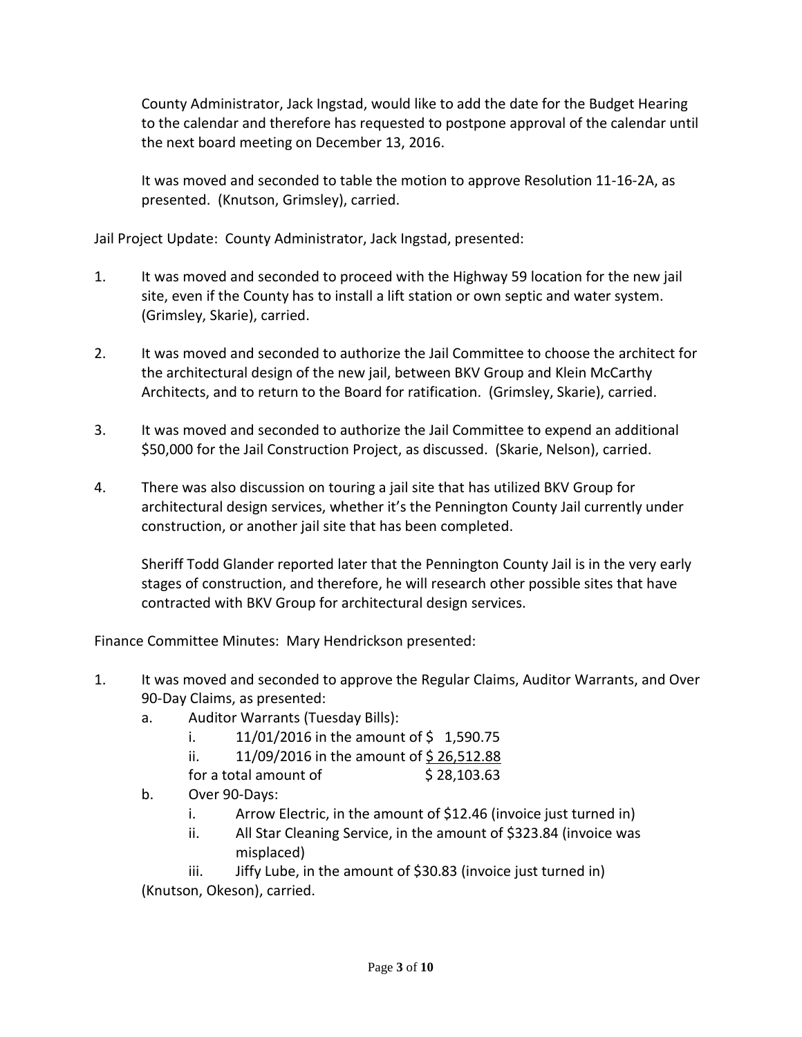County Administrator, Jack Ingstad, would like to add the date for the Budget Hearing to the calendar and therefore has requested to postpone approval of the calendar until the next board meeting on December 13, 2016.

It was moved and seconded to table the motion to approve Resolution 11-16-2A, as presented. (Knutson, Grimsley), carried.

Jail Project Update: County Administrator, Jack Ingstad, presented:

- 1. It was moved and seconded to proceed with the Highway 59 location for the new jail site, even if the County has to install a lift station or own septic and water system. (Grimsley, Skarie), carried.
- 2. It was moved and seconded to authorize the Jail Committee to choose the architect for the architectural design of the new jail, between BKV Group and Klein McCarthy Architects, and to return to the Board for ratification. (Grimsley, Skarie), carried.
- 3. It was moved and seconded to authorize the Jail Committee to expend an additional \$50,000 for the Jail Construction Project, as discussed. (Skarie, Nelson), carried.
- 4. There was also discussion on touring a jail site that has utilized BKV Group for architectural design services, whether it's the Pennington County Jail currently under construction, or another jail site that has been completed.

Sheriff Todd Glander reported later that the Pennington County Jail is in the very early stages of construction, and therefore, he will research other possible sites that have contracted with BKV Group for architectural design services.

Finance Committee Minutes: Mary Hendrickson presented:

- 1. It was moved and seconded to approve the Regular Claims, Auditor Warrants, and Over 90-Day Claims, as presented:
	- a. Auditor Warrants (Tuesday Bills):
		- i.  $11/01/2016$  in the amount of \$1,590.75
		- ii.  $11/09/2016$  in the amount of \$26,512.88
		- for a total amount of  $$28,103.63$
	- b. Over 90-Days:
		- i. Arrow Electric, in the amount of \$12.46 (invoice just turned in)
		- ii. All Star Cleaning Service, in the amount of \$323.84 (invoice was misplaced)

iii. Jiffy Lube, in the amount of \$30.83 (invoice just turned in) (Knutson, Okeson), carried.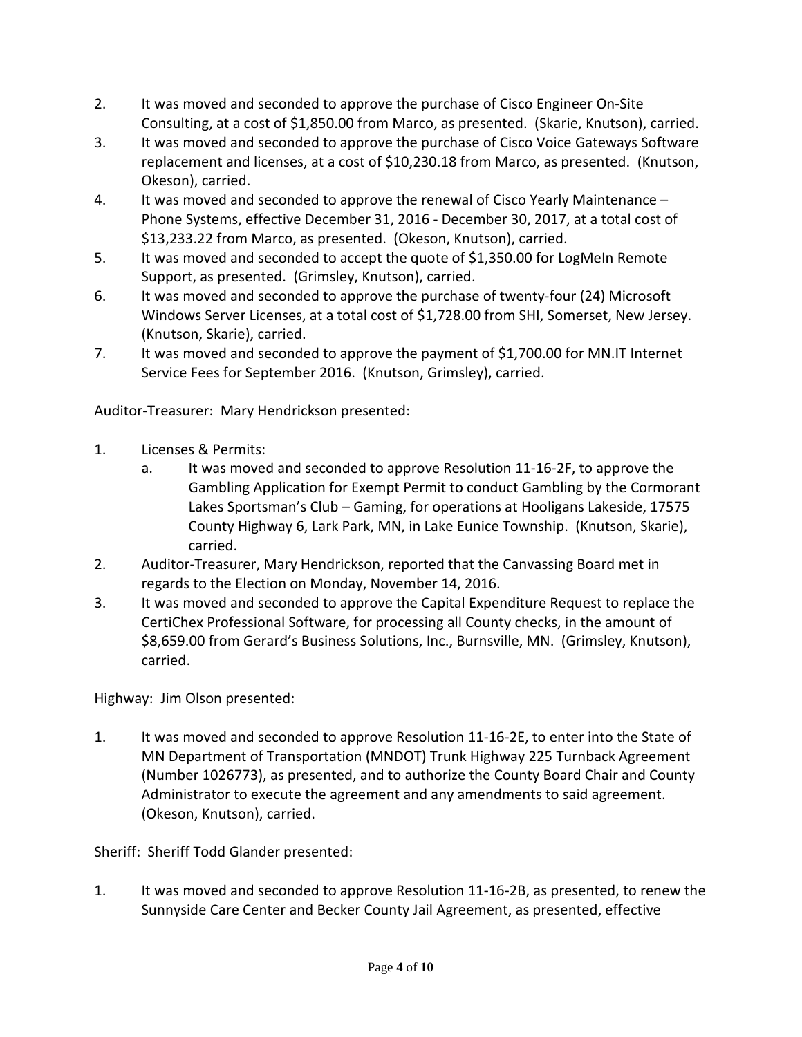- 2. It was moved and seconded to approve the purchase of Cisco Engineer On-Site Consulting, at a cost of \$1,850.00 from Marco, as presented. (Skarie, Knutson), carried.
- 3. It was moved and seconded to approve the purchase of Cisco Voice Gateways Software replacement and licenses, at a cost of \$10,230.18 from Marco, as presented. (Knutson, Okeson), carried.
- 4. It was moved and seconded to approve the renewal of Cisco Yearly Maintenance Phone Systems, effective December 31, 2016 - December 30, 2017, at a total cost of \$13,233.22 from Marco, as presented. (Okeson, Knutson), carried.
- 5. It was moved and seconded to accept the quote of \$1,350.00 for LogMeIn Remote Support, as presented. (Grimsley, Knutson), carried.
- 6. It was moved and seconded to approve the purchase of twenty-four (24) Microsoft Windows Server Licenses, at a total cost of \$1,728.00 from SHI, Somerset, New Jersey. (Knutson, Skarie), carried.
- 7. It was moved and seconded to approve the payment of \$1,700.00 for MN.IT Internet Service Fees for September 2016. (Knutson, Grimsley), carried.

Auditor-Treasurer: Mary Hendrickson presented:

- 1. Licenses & Permits:
	- a. It was moved and seconded to approve Resolution 11-16-2F, to approve the Gambling Application for Exempt Permit to conduct Gambling by the Cormorant Lakes Sportsman's Club – Gaming, for operations at Hooligans Lakeside, 17575 County Highway 6, Lark Park, MN, in Lake Eunice Township. (Knutson, Skarie), carried.
- 2. Auditor-Treasurer, Mary Hendrickson, reported that the Canvassing Board met in regards to the Election on Monday, November 14, 2016.
- 3. It was moved and seconded to approve the Capital Expenditure Request to replace the CertiChex Professional Software, for processing all County checks, in the amount of \$8,659.00 from Gerard's Business Solutions, Inc., Burnsville, MN. (Grimsley, Knutson), carried.

Highway: Jim Olson presented:

1. It was moved and seconded to approve Resolution 11-16-2E, to enter into the State of MN Department of Transportation (MNDOT) Trunk Highway 225 Turnback Agreement (Number 1026773), as presented, and to authorize the County Board Chair and County Administrator to execute the agreement and any amendments to said agreement. (Okeson, Knutson), carried.

Sheriff: Sheriff Todd Glander presented:

1. It was moved and seconded to approve Resolution 11-16-2B, as presented, to renew the Sunnyside Care Center and Becker County Jail Agreement, as presented, effective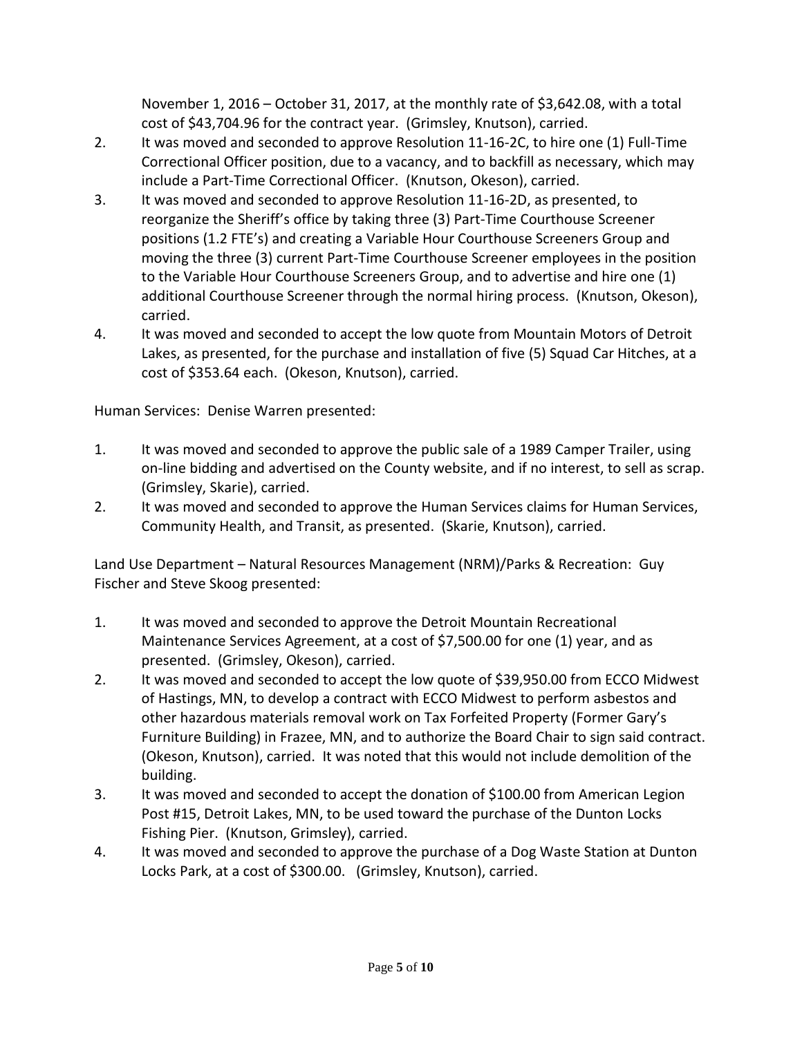November 1, 2016 – October 31, 2017, at the monthly rate of \$3,642.08, with a total cost of \$43,704.96 for the contract year. (Grimsley, Knutson), carried.

- 2. It was moved and seconded to approve Resolution 11-16-2C, to hire one (1) Full-Time Correctional Officer position, due to a vacancy, and to backfill as necessary, which may include a Part-Time Correctional Officer. (Knutson, Okeson), carried.
- 3. It was moved and seconded to approve Resolution 11-16-2D, as presented, to reorganize the Sheriff's office by taking three (3) Part-Time Courthouse Screener positions (1.2 FTE's) and creating a Variable Hour Courthouse Screeners Group and moving the three (3) current Part-Time Courthouse Screener employees in the position to the Variable Hour Courthouse Screeners Group, and to advertise and hire one (1) additional Courthouse Screener through the normal hiring process. (Knutson, Okeson), carried.
- 4. It was moved and seconded to accept the low quote from Mountain Motors of Detroit Lakes, as presented, for the purchase and installation of five (5) Squad Car Hitches, at a cost of \$353.64 each. (Okeson, Knutson), carried.

Human Services: Denise Warren presented:

- 1. It was moved and seconded to approve the public sale of a 1989 Camper Trailer, using on-line bidding and advertised on the County website, and if no interest, to sell as scrap. (Grimsley, Skarie), carried.
- 2. It was moved and seconded to approve the Human Services claims for Human Services, Community Health, and Transit, as presented. (Skarie, Knutson), carried.

Land Use Department – Natural Resources Management (NRM)/Parks & Recreation: Guy Fischer and Steve Skoog presented:

- 1. It was moved and seconded to approve the Detroit Mountain Recreational Maintenance Services Agreement, at a cost of \$7,500.00 for one (1) year, and as presented. (Grimsley, Okeson), carried.
- 2. It was moved and seconded to accept the low quote of \$39,950.00 from ECCO Midwest of Hastings, MN, to develop a contract with ECCO Midwest to perform asbestos and other hazardous materials removal work on Tax Forfeited Property (Former Gary's Furniture Building) in Frazee, MN, and to authorize the Board Chair to sign said contract. (Okeson, Knutson), carried. It was noted that this would not include demolition of the building.
- 3. It was moved and seconded to accept the donation of \$100.00 from American Legion Post #15, Detroit Lakes, MN, to be used toward the purchase of the Dunton Locks Fishing Pier. (Knutson, Grimsley), carried.
- 4. It was moved and seconded to approve the purchase of a Dog Waste Station at Dunton Locks Park, at a cost of \$300.00. (Grimsley, Knutson), carried.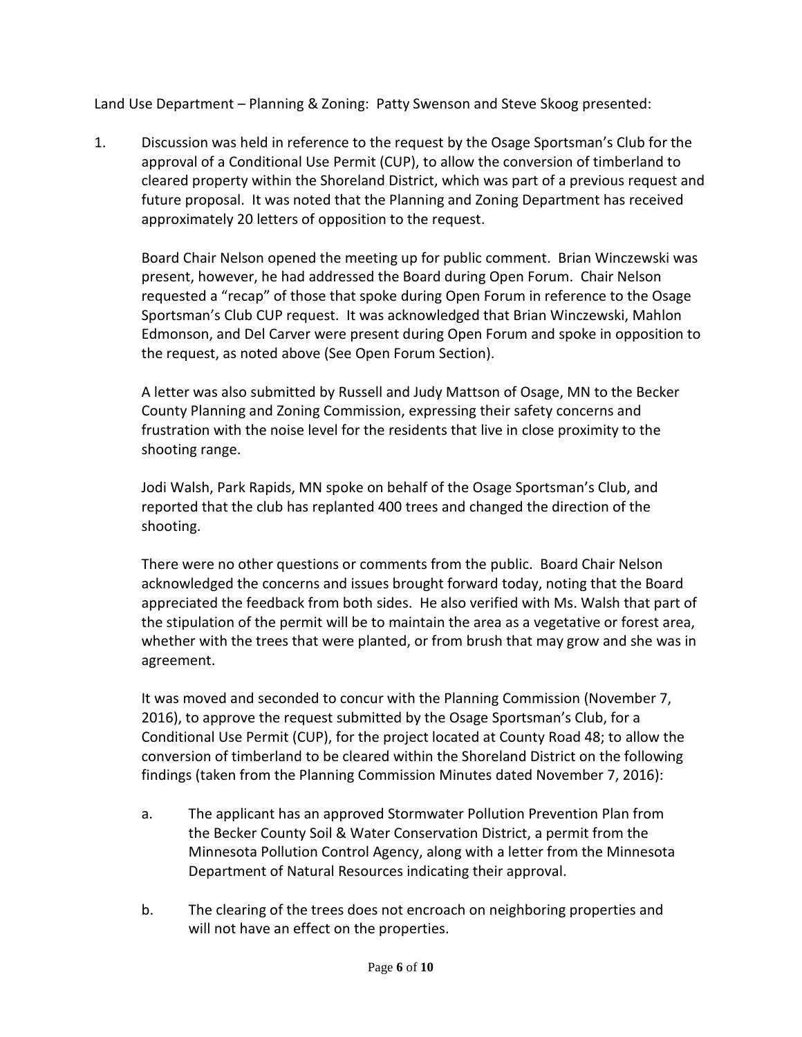Land Use Department – Planning & Zoning: Patty Swenson and Steve Skoog presented:

1. Discussion was held in reference to the request by the Osage Sportsman's Club for the approval of a Conditional Use Permit (CUP), to allow the conversion of timberland to cleared property within the Shoreland District, which was part of a previous request and future proposal. It was noted that the Planning and Zoning Department has received approximately 20 letters of opposition to the request.

Board Chair Nelson opened the meeting up for public comment. Brian Winczewski was present, however, he had addressed the Board during Open Forum. Chair Nelson requested a "recap" of those that spoke during Open Forum in reference to the Osage Sportsman's Club CUP request. It was acknowledged that Brian Winczewski, Mahlon Edmonson, and Del Carver were present during Open Forum and spoke in opposition to the request, as noted above (See Open Forum Section).

A letter was also submitted by Russell and Judy Mattson of Osage, MN to the Becker County Planning and Zoning Commission, expressing their safety concerns and frustration with the noise level for the residents that live in close proximity to the shooting range.

Jodi Walsh, Park Rapids, MN spoke on behalf of the Osage Sportsman's Club, and reported that the club has replanted 400 trees and changed the direction of the shooting.

There were no other questions or comments from the public. Board Chair Nelson acknowledged the concerns and issues brought forward today, noting that the Board appreciated the feedback from both sides. He also verified with Ms. Walsh that part of the stipulation of the permit will be to maintain the area as a vegetative or forest area, whether with the trees that were planted, or from brush that may grow and she was in agreement.

It was moved and seconded to concur with the Planning Commission (November 7, 2016), to approve the request submitted by the Osage Sportsman's Club, for a Conditional Use Permit (CUP), for the project located at County Road 48; to allow the conversion of timberland to be cleared within the Shoreland District on the following findings (taken from the Planning Commission Minutes dated November 7, 2016):

- a. The applicant has an approved Stormwater Pollution Prevention Plan from the Becker County Soil & Water Conservation District, a permit from the Minnesota Pollution Control Agency, along with a letter from the Minnesota Department of Natural Resources indicating their approval.
- b. The clearing of the trees does not encroach on neighboring properties and will not have an effect on the properties.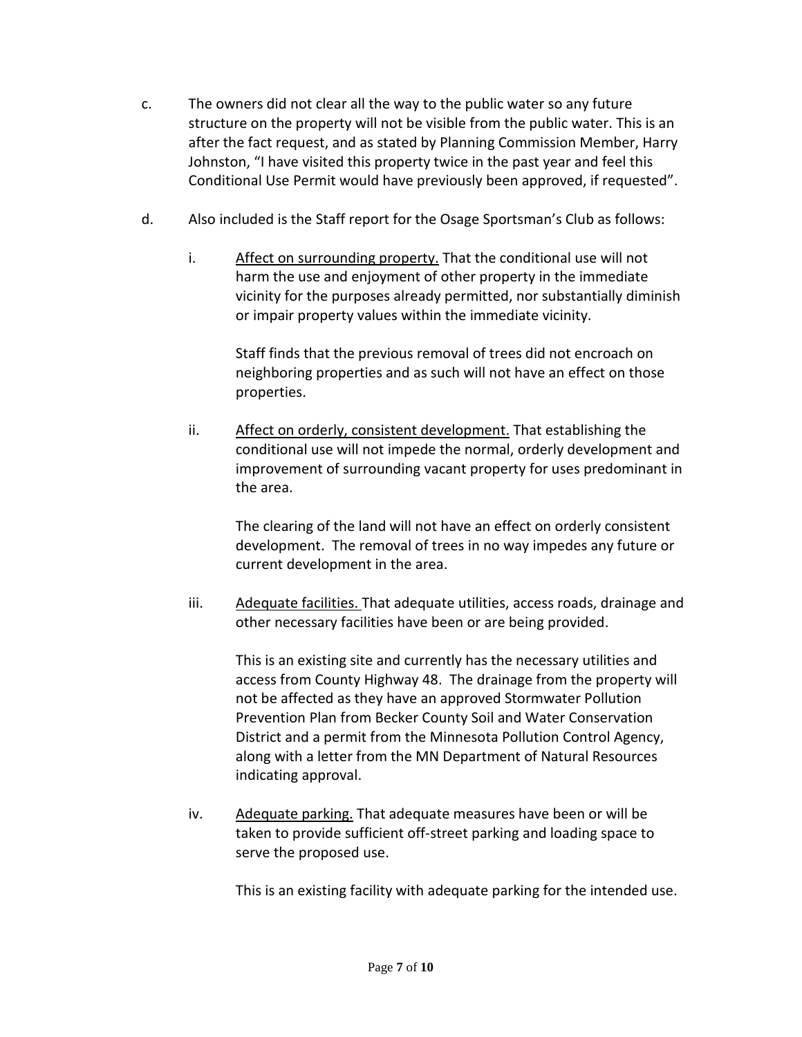- c. The owners did not clear all the way to the public water so any future structure on the property will not be visible from the public water. This is an after the fact request, and as stated by Planning Commission Member, Harry Johnston, "I have visited this property twice in the past year and feel this Conditional Use Permit would have previously been approved, if requested".
- d. Also included is the Staff report for the Osage Sportsman's Club as follows:
	- i. Affect on surrounding property. That the conditional use will not harm the use and enjoyment of other property in the immediate vicinity for the purposes already permitted, nor substantially diminish or impair property values within the immediate vicinity.

Staff finds that the previous removal of trees did not encroach on neighboring properties and as such will not have an effect on those properties.

ii. Affect on orderly, consistent development. That establishing the conditional use will not impede the normal, orderly development and improvement of surrounding vacant property for uses predominant in the area.

The clearing of the land will not have an effect on orderly consistent development. The removal of trees in no way impedes any future or current development in the area.

iii. Adequate facilities. That adequate utilities, access roads, drainage and other necessary facilities have been or are being provided.

This is an existing site and currently has the necessary utilities and access from County Highway 48. The drainage from the property will not be affected as they have an approved Stormwater Pollution Prevention Plan from Becker County Soil and Water Conservation District and a permit from the Minnesota Pollution Control Agency, along with a letter from the MN Department of Natural Resources indicating approval.

iv. Adequate parking. That adequate measures have been or will be taken to provide sufficient off-street parking and loading space to serve the proposed use.

This is an existing facility with adequate parking for the intended use.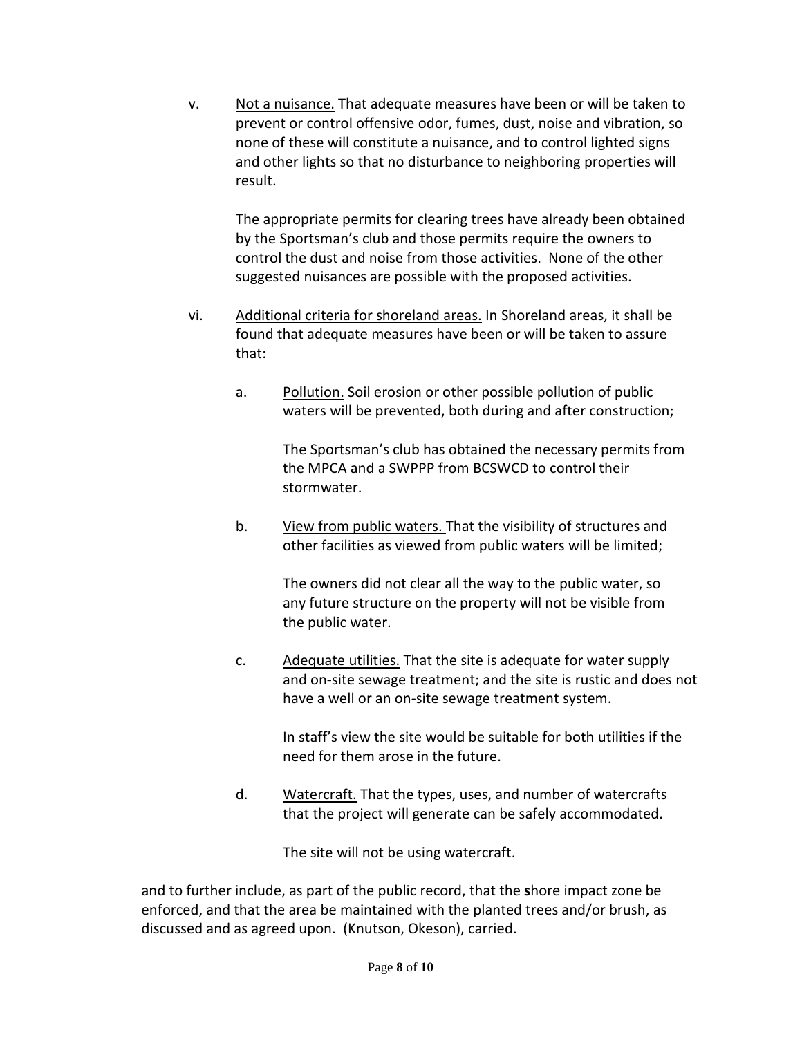v. Not a nuisance. That adequate measures have been or will be taken to prevent or control offensive odor, fumes, dust, noise and vibration, so none of these will constitute a nuisance, and to control lighted signs and other lights so that no disturbance to neighboring properties will result.

The appropriate permits for clearing trees have already been obtained by the Sportsman's club and those permits require the owners to control the dust and noise from those activities. None of the other suggested nuisances are possible with the proposed activities.

- vi. Additional criteria for shoreland areas. In Shoreland areas, it shall be found that adequate measures have been or will be taken to assure that:
	- a. Pollution. Soil erosion or other possible pollution of public waters will be prevented, both during and after construction;

The Sportsman's club has obtained the necessary permits from the MPCA and a SWPPP from BCSWCD to control their stormwater.

b. View from public waters. That the visibility of structures and other facilities as viewed from public waters will be limited;

> The owners did not clear all the way to the public water, so any future structure on the property will not be visible from the public water.

c. Adequate utilities. That the site is adequate for water supply and on-site sewage treatment; and the site is rustic and does not have a well or an on-site sewage treatment system.

> In staff's view the site would be suitable for both utilities if the need for them arose in the future.

d. Watercraft. That the types, uses, and number of watercrafts that the project will generate can be safely accommodated.

The site will not be using watercraft.

and to further include, as part of the public record, that the **s**hore impact zone be enforced, and that the area be maintained with the planted trees and/or brush, as discussed and as agreed upon. (Knutson, Okeson), carried.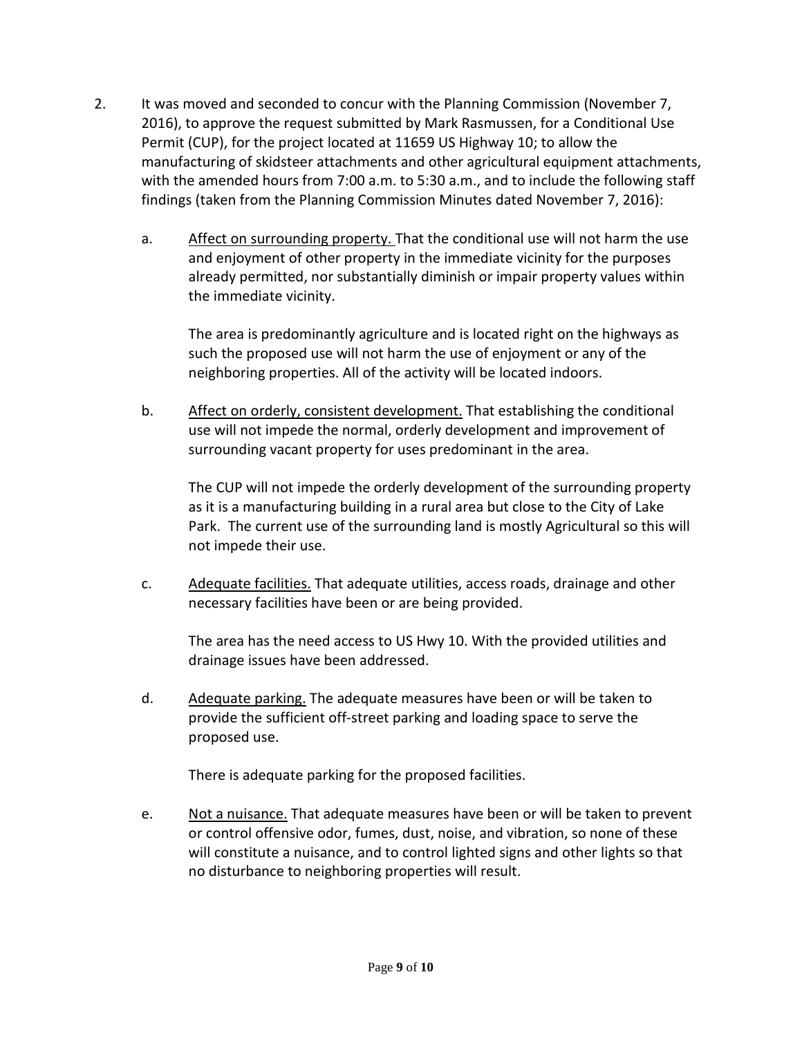- 2. It was moved and seconded to concur with the Planning Commission (November 7, 2016), to approve the request submitted by Mark Rasmussen, for a Conditional Use Permit (CUP), for the project located at 11659 US Highway 10; to allow the manufacturing of skidsteer attachments and other agricultural equipment attachments, with the amended hours from 7:00 a.m. to 5:30 a.m., and to include the following staff findings (taken from the Planning Commission Minutes dated November 7, 2016):
	- a. Affect on surrounding property. That the conditional use will not harm the use and enjoyment of other property in the immediate vicinity for the purposes already permitted, nor substantially diminish or impair property values within the immediate vicinity.

The area is predominantly agriculture and is located right on the highways as such the proposed use will not harm the use of enjoyment or any of the neighboring properties. All of the activity will be located indoors.

b. Affect on orderly, consistent development. That establishing the conditional use will not impede the normal, orderly development and improvement of surrounding vacant property for uses predominant in the area.

The CUP will not impede the orderly development of the surrounding property as it is a manufacturing building in a rural area but close to the City of Lake Park. The current use of the surrounding land is mostly Agricultural so this will not impede their use.

c. Adequate facilities. That adequate utilities, access roads, drainage and other necessary facilities have been or are being provided.

The area has the need access to US Hwy 10. With the provided utilities and drainage issues have been addressed.

d. Adequate parking. The adequate measures have been or will be taken to provide the sufficient off-street parking and loading space to serve the proposed use.

There is adequate parking for the proposed facilities.

e. Not a nuisance. That adequate measures have been or will be taken to prevent or control offensive odor, fumes, dust, noise, and vibration, so none of these will constitute a nuisance, and to control lighted signs and other lights so that no disturbance to neighboring properties will result.